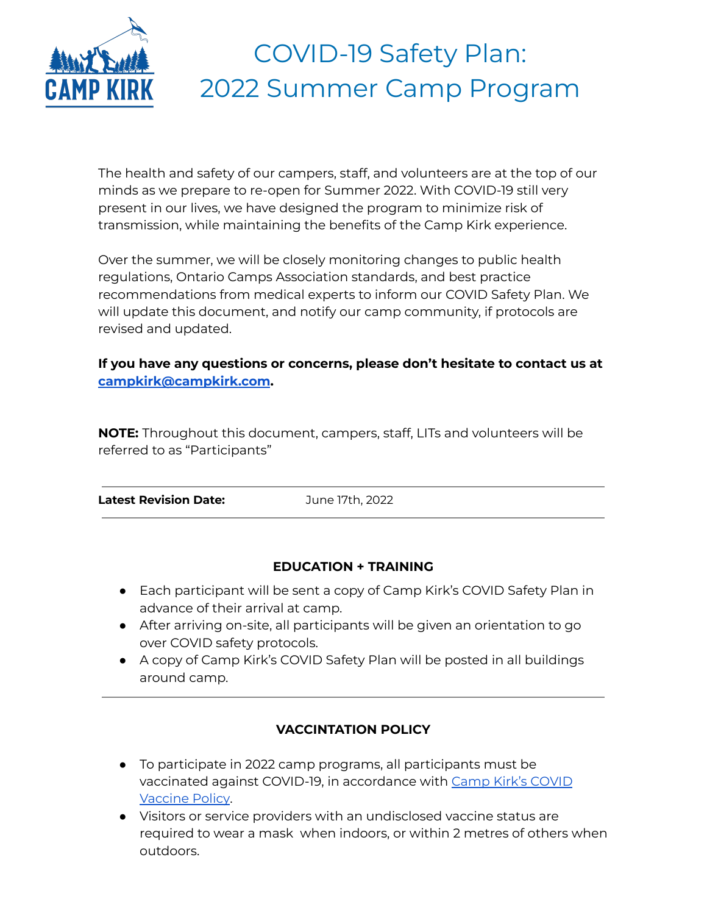

# COVID-19 Safety Plan: 2022 Summer Camp Program

The health and safety of our campers, staff, and volunteers are at the top of our minds as we prepare to re-open for Summer 2022. With COVID-19 still very present in our lives, we have designed the program to minimize risk of transmission, while maintaining the benefits of the Camp Kirk experience.

Over the summer, we will be closely monitoring changes to public health regulations, Ontario Camps Association standards, and best practice recommendations from medical experts to inform our COVID Safety Plan. We will update this document, and notify our camp community, if protocols are revised and updated.

# **If you have any questions or concerns, please don't hesitate to contact us at [campkirk@campkirk.com](mailto:campkirk@campkirk.com).**

**NOTE:** Throughout this document, campers, staff, LITs and volunteers will be referred to as "Participants"

**Latest Revision Date:** June 17th, 2022

# **EDUCATION + TRAINING**

- Each participant will be sent a copy of Camp Kirk's COVID Safety Plan in advance of their arrival at camp.
- After arriving on-site, all participants will be given an orientation to go over COVID safety protocols.
- A copy of Camp Kirk's COVID Safety Plan will be posted in all buildings around camp.

# **VACCINTATION POLICY**

- To participate in 2022 camp programs, all participants must be vaccinated against COVID-19, in accordance with Camp Kirk's [COVID](https://campkirk.com/vaccine-policy-3/) [Vaccine](https://campkirk.com/vaccine-policy-3/) Policy.
- Visitors or service providers with an undisclosed vaccine status are required to wear a mask when indoors, or within 2 metres of others when outdoors.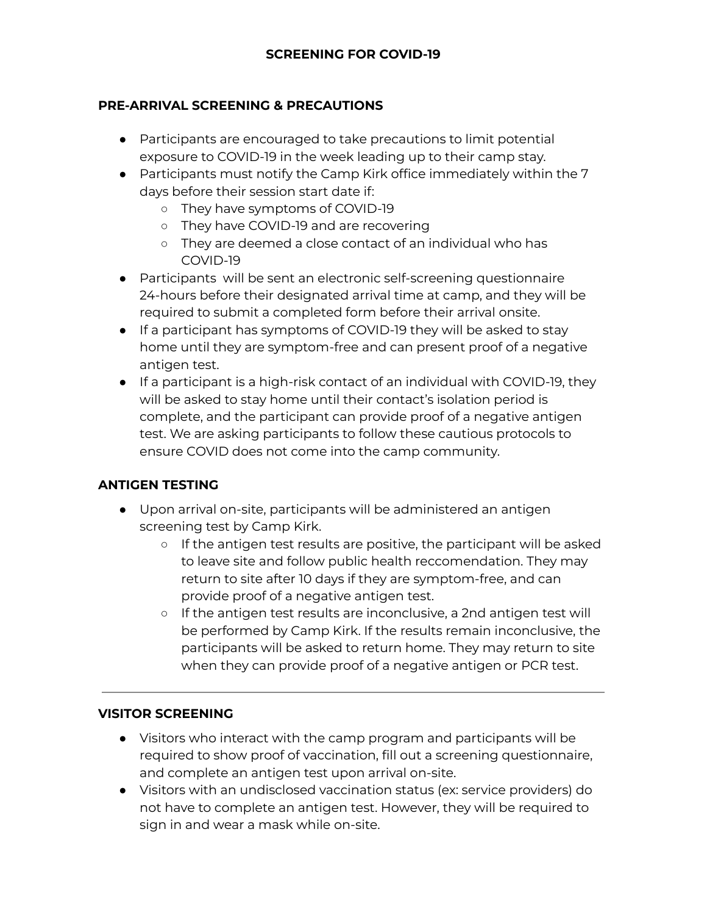#### **PRE-ARRIVAL SCREENING & PRECAUTIONS**

- Participants are encouraged to take precautions to limit potential exposure to COVID-19 in the week leading up to their camp stay.
- Participants must notify the Camp Kirk office immediately within the 7 days before their session start date if:
	- They have symptoms of COVID-19
	- They have COVID-19 and are recovering
	- They are deemed a close contact of an individual who has COVID-19
- Participants will be sent an electronic self-screening questionnaire 24-hours before their designated arrival time at camp, and they will be required to submit a completed form before their arrival onsite.
- If a participant has symptoms of COVID-19 they will be asked to stay home until they are symptom-free and can present proof of a negative antigen test.
- If a participant is a high-risk contact of an individual with COVID-19, they will be asked to stay home until their contact's isolation period is complete, and the participant can provide proof of a negative antigen test. We are asking participants to follow these cautious protocols to ensure COVID does not come into the camp community.

#### **ANTIGEN TESTING**

- Upon arrival on-site, participants will be administered an antigen screening test by Camp Kirk.
	- If the antigen test results are positive, the participant will be asked to leave site and follow public health reccomendation. They may return to site after 10 days if they are symptom-free, and can provide proof of a negative antigen test.
	- If the antigen test results are inconclusive, a 2nd antigen test will be performed by Camp Kirk. If the results remain inconclusive, the participants will be asked to return home. They may return to site when they can provide proof of a negative antigen or PCR test.

#### **VISITOR SCREENING**

- Visitors who interact with the camp program and participants will be required to show proof of vaccination, fill out a screening questionnaire, and complete an antigen test upon arrival on-site.
- Visitors with an undisclosed vaccination status (ex: service providers) do not have to complete an antigen test. However, they will be required to sign in and wear a mask while on-site.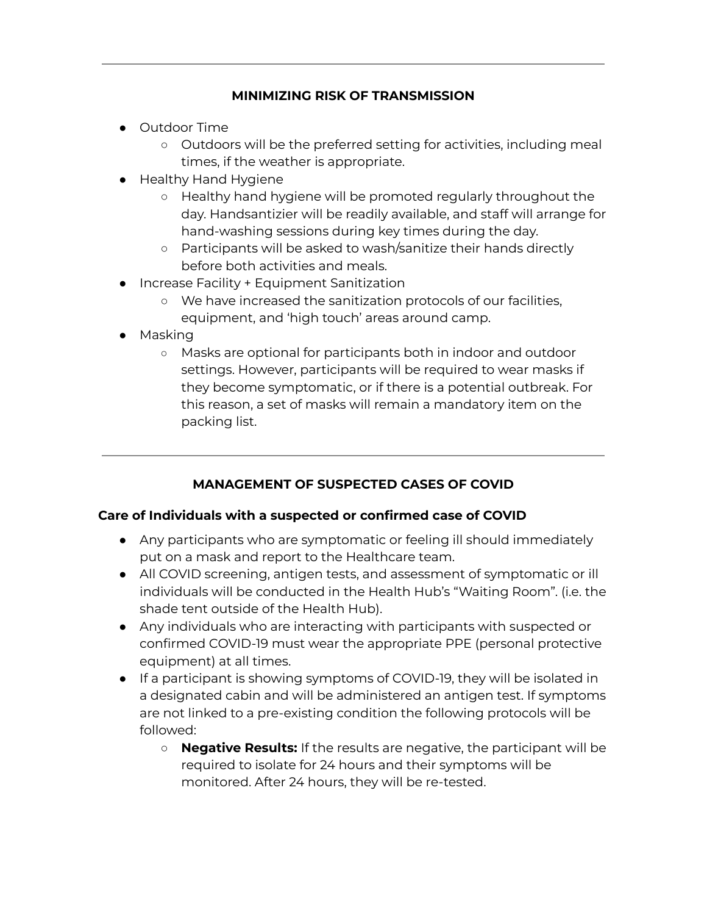#### **MINIMIZING RISK OF TRANSMISSION**

- Outdoor Time
	- Outdoors will be the preferred setting for activities, including meal times, if the weather is appropriate.
- Healthy Hand Hygiene
	- Healthy hand hygiene will be promoted regularly throughout the day. Handsantizier will be readily available, and staff will arrange for hand-washing sessions during key times during the day.
	- Participants will be asked to wash/sanitize their hands directly before both activities and meals.
- **Increase Facility + Equipment Sanitization** 
	- We have increased the sanitization protocols of our facilities, equipment, and 'high touch' areas around camp.
- Masking
	- Masks are optional for participants both in indoor and outdoor settings. However, participants will be required to wear masks if they become symptomatic, or if there is a potential outbreak. For this reason, a set of masks will remain a mandatory item on the packing list.

# **MANAGEMENT OF SUSPECTED CASES OF COVID**

# **Care of Individuals with a suspected or confirmed case of COVID**

- Any participants who are symptomatic or feeling ill should immediately put on a mask and report to the Healthcare team.
- All COVID screening, antigen tests, and assessment of symptomatic or ill individuals will be conducted in the Health Hub's "Waiting Room". (i.e. the shade tent outside of the Health Hub).
- Any individuals who are interacting with participants with suspected or confirmed COVID-19 must wear the appropriate PPE (personal protective equipment) at all times.
- If a participant is showing symptoms of COVID-19, they will be isolated in a designated cabin and will be administered an antigen test. If symptoms are not linked to a pre-existing condition the following protocols will be followed:
	- **Negative Results:** If the results are negative, the participant will be required to isolate for 24 hours and their symptoms will be monitored. After 24 hours, they will be re-tested.